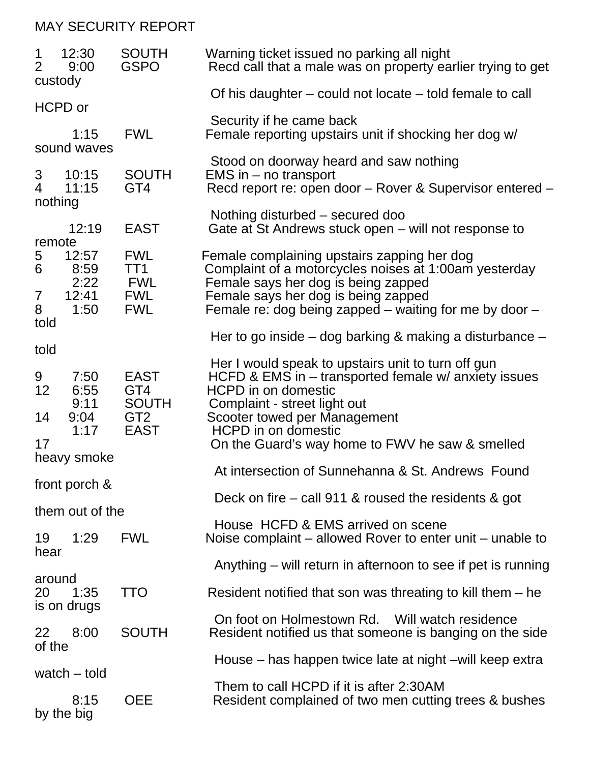## MAY SECURITY REPORT

| 12:30<br>1<br>$\overline{2}$<br>9:00<br>custody |                                        | <b>SOUTH</b><br><b>GSPO</b>                                          | Warning ticket issued no parking all night<br>Recd call that a male was on property earlier trying to get                                                                                                                                                                                     |
|-------------------------------------------------|----------------------------------------|----------------------------------------------------------------------|-----------------------------------------------------------------------------------------------------------------------------------------------------------------------------------------------------------------------------------------------------------------------------------------------|
|                                                 | HCPD or                                |                                                                      | Of his daughter $-$ could not locate $-$ told female to call                                                                                                                                                                                                                                  |
|                                                 | 1:15<br>sound waves                    | <b>FWL</b>                                                           | Security if he came back<br>Female reporting upstairs unit if shocking her dog w/                                                                                                                                                                                                             |
| 3<br>$\overline{4}$<br>nothing                  | 10:15<br>11:15                         | <b>SOUTH</b><br>GT <sub>4</sub>                                      | Stood on doorway heard and saw nothing<br>$EMS$ in $-$ no transport<br>Recd report re: open door - Rover & Supervisor entered -                                                                                                                                                               |
|                                                 | 12:19                                  | <b>EAST</b>                                                          | Nothing disturbed – secured doo<br>Gate at St Andrews stuck open – will not response to                                                                                                                                                                                                       |
| remote<br>5<br>6<br>7<br>8                      | 12:57<br>8:59<br>2:22<br>12:41<br>1:50 | <b>FWL</b><br>TT1<br>FWL<br><b>FWL</b><br><b>FWL</b>                 | Female complaining upstairs zapping her dog<br>Complaint of a motorcycles noises at 1:00am yesterday<br>Female says her dog is being zapped<br>Female says her dog is being zapped<br>Female re: dog being zapped – waiting for me by door –                                                  |
| told                                            |                                        |                                                                      | Her to go inside $-$ dog barking & making a disturbance $-$                                                                                                                                                                                                                                   |
| told<br>9<br>12<br>14<br>17                     | 7:50<br>6:55<br>9:11<br>9:04<br>1:17   | <b>EAST</b><br>GT4<br><b>SOUTH</b><br>GT <sub>2</sub><br><b>EAST</b> | Her I would speak to upstairs unit to turn off gun<br>HCFD & EMS in $-$ transported female $w/$ anxiety issues<br><b>HCPD</b> in on domestic<br>Complaint - street light out<br>Scooter towed per Management<br><b>HCPD</b> in on domestic<br>On the Guard's way home to FWV he saw & smelled |
| heavy smoke                                     |                                        |                                                                      | At intersection of Sunnehanna & St. Andrews Found                                                                                                                                                                                                                                             |
| front porch &                                   |                                        |                                                                      | Deck on fire $-$ call 911 & roused the residents & got                                                                                                                                                                                                                                        |
|                                                 | them out of the                        |                                                                      | House HCFD & EMS arrived on scene                                                                                                                                                                                                                                                             |
| 19                                              | 1:29                                   | <b>FWL</b>                                                           | Noise complaint – allowed Rover to enter unit – unable to                                                                                                                                                                                                                                     |
| hear                                            |                                        |                                                                      | Anything – will return in afternoon to see if pet is running                                                                                                                                                                                                                                  |
| around<br>20                                    | 1:35<br>is on drugs                    | <b>TTO</b>                                                           | Resident notified that son was threating to kill them $-$ he                                                                                                                                                                                                                                  |
| 22                                              | 8:00                                   | <b>SOUTH</b>                                                         | On foot on Holmestown Rd.<br>Will watch residence<br>Resident notified us that someone is banging on the side                                                                                                                                                                                 |
| of the<br>watch – told                          |                                        |                                                                      | House – has happen twice late at night – will keep extra                                                                                                                                                                                                                                      |
|                                                 | 8:15<br>by the big                     | <b>OEE</b>                                                           | Them to call HCPD if it is after 2:30AM<br>Resident complained of two men cutting trees & bushes                                                                                                                                                                                              |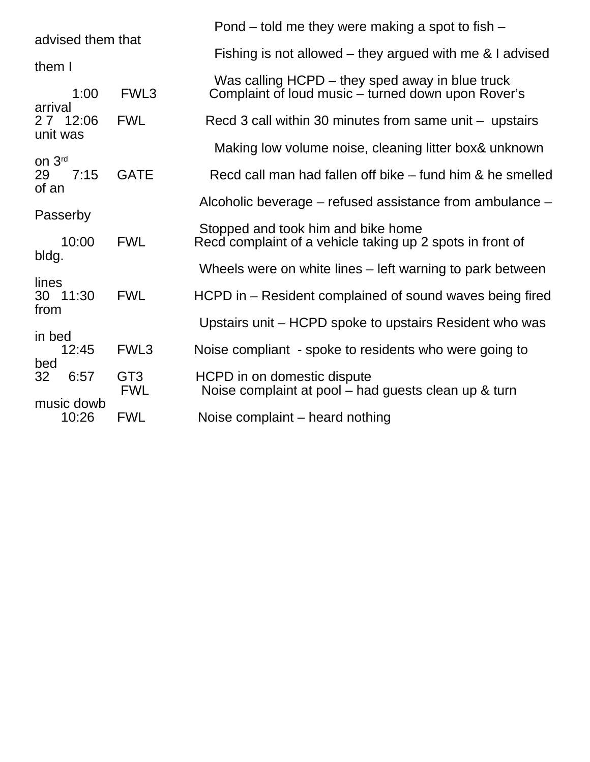| advised them that                    |                     |                               | Pond – told me they were making a spot to fish –                                                |
|--------------------------------------|---------------------|-------------------------------|-------------------------------------------------------------------------------------------------|
|                                      |                     |                               | Fishing is not allowed – they argued with me $\&$ I advised                                     |
| them I                               |                     |                               | Was calling HCPD – they sped away in blue truck                                                 |
| arrival<br>unit was                  | 1:00                | FWL3                          | Complaint of loud music – turned down upon Rover's                                              |
|                                      | 2 7 12:06           | <b>FWL</b>                    | Recd 3 call within 30 minutes from same unit $-$ upstairs                                       |
|                                      |                     |                               | Making low volume noise, cleaning litter box& unknown                                           |
| on 3rd<br>29<br>of an                | 7:15                | <b>GATE</b>                   | Recd call man had fallen off bike – fund him & he smelled                                       |
|                                      |                     |                               | Alcoholic beverage – refused assistance from ambulance –                                        |
|                                      | Passerby<br>10:00   | <b>FWL</b>                    | Stopped and took him and bike home<br>Recd complaint of a vehicle taking up 2 spots in front of |
| bldg.                                |                     |                               | Wheels were on white lines – left warning to park between                                       |
| lines<br>from<br>in bed<br>bed<br>32 | 30 11:30            | <b>FWL</b>                    | HCPD in – Resident complained of sound waves being fired                                        |
|                                      |                     |                               | Upstairs unit – HCPD spoke to upstairs Resident who was                                         |
|                                      | 12:45               | FWL <sub>3</sub>              | Noise compliant - spoke to residents who were going to                                          |
|                                      | 6:57                | GT <sub>3</sub><br><b>FWL</b> | HCPD in on domestic dispute<br>Noise complaint at pool – had guests clean up & turn             |
|                                      | music dowb<br>10:26 | <b>FWL</b>                    | Noise complaint – heard nothing                                                                 |